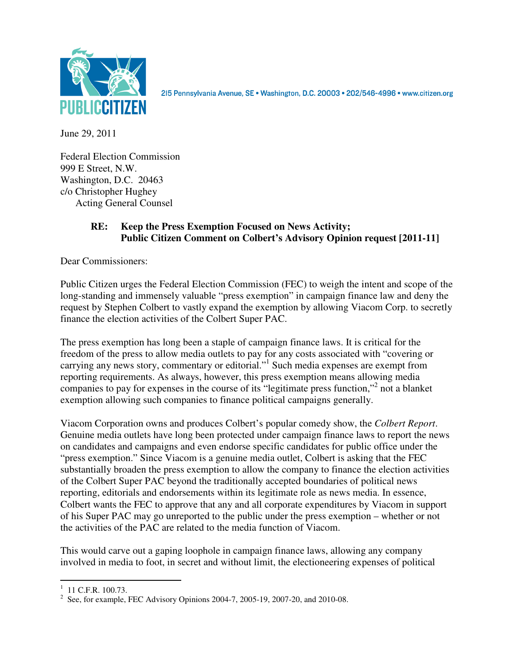

215 Pennsylvania Avenue, SE · Washington, D.C. 20003 · 202/546-4996 · www.citizen.org

June 29, 2011

Federal Election Commission 999 E Street, N.W. Washington, D.C. 20463 c/o Christopher Hughey Acting General Counsel

## **RE: Keep the Press Exemption Focused on News Activity; Public Citizen Comment on Colbert's Advisory Opinion request [2011-11]**

Dear Commissioners:

Public Citizen urges the Federal Election Commission (FEC) to weigh the intent and scope of the long-standing and immensely valuable "press exemption" in campaign finance law and deny the request by Stephen Colbert to vastly expand the exemption by allowing Viacom Corp. to secretly finance the election activities of the Colbert Super PAC.

The press exemption has long been a staple of campaign finance laws. It is critical for the freedom of the press to allow media outlets to pay for any costs associated with "covering or carrying any news story, commentary or editorial."<sup>1</sup> Such media expenses are exempt from reporting requirements. As always, however, this press exemption means allowing media companies to pay for expenses in the course of its "legitimate press function,"<sup>2</sup> not a blanket exemption allowing such companies to finance political campaigns generally.

Viacom Corporation owns and produces Colbert's popular comedy show, the *Colbert Report*. Genuine media outlets have long been protected under campaign finance laws to report the news on candidates and campaigns and even endorse specific candidates for public office under the "press exemption." Since Viacom is a genuine media outlet, Colbert is asking that the FEC substantially broaden the press exemption to allow the company to finance the election activities of the Colbert Super PAC beyond the traditionally accepted boundaries of political news reporting, editorials and endorsements within its legitimate role as news media. In essence, Colbert wants the FEC to approve that any and all corporate expenditures by Viacom in support of his Super PAC may go unreported to the public under the press exemption – whether or not the activities of the PAC are related to the media function of Viacom.

This would carve out a gaping loophole in campaign finance laws, allowing any company involved in media to foot, in secret and without limit, the electioneering expenses of political

 $1 \t11 C.F.R. 100.73.$ 

<sup>&</sup>lt;sup>2</sup> See, for example, FEC Advisory Opinions 2004-7, 2005-19, 2007-20, and 2010-08.